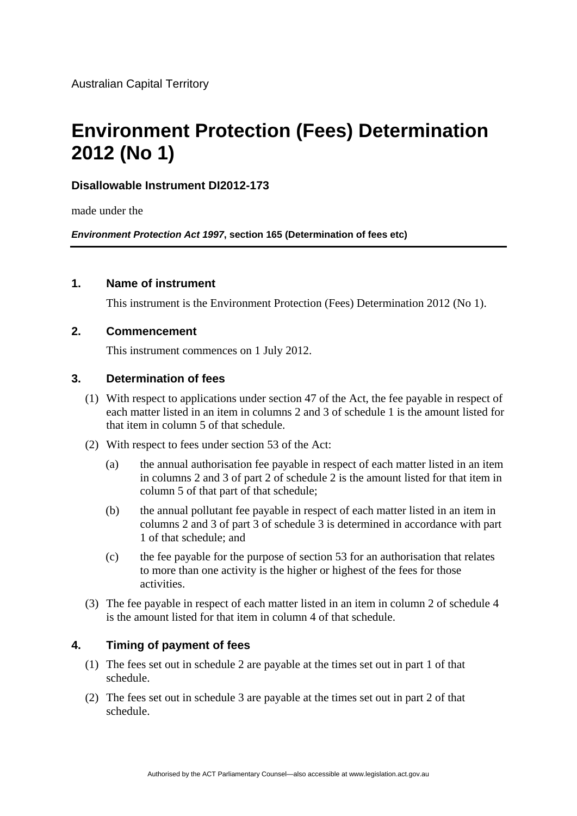# **Environment Protection (Fees) Determination 2012 (No 1)**

#### **Disallowable Instrument DI2012-173**

made under the

*Environment Protection Act 1997***, section 165 (Determination of fees etc)**

#### **1. Name of instrument**

This instrument is the Environment Protection (Fees) Determination 2012 (No 1).

#### **2. Commencement**

This instrument commences on 1 July 2012.

#### **3. Determination of fees**

- (1) With respect to applications under section 47 of the Act, the fee payable in respect of each matter listed in an item in columns 2 and 3 of schedule 1 is the amount listed for that item in column 5 of that schedule.
- (2) With respect to fees under section 53 of the Act:
	- (a) the annual authorisation fee payable in respect of each matter listed in an item in columns 2 and 3 of part 2 of schedule 2 is the amount listed for that item in column 5 of that part of that schedule;
	- (b) the annual pollutant fee payable in respect of each matter listed in an item in columns 2 and 3 of part 3 of schedule 3 is determined in accordance with part 1 of that schedule; and
	- (c) the fee payable for the purpose of section 53 for an authorisation that relates to more than one activity is the higher or highest of the fees for those activities.
- (3) The fee payable in respect of each matter listed in an item in column 2 of schedule 4 is the amount listed for that item in column 4 of that schedule.

## **4. Timing of payment of fees**

- (1) The fees set out in schedule 2 are payable at the times set out in part 1 of that schedule.
- (2) The fees set out in schedule 3 are payable at the times set out in part 2 of that schedule.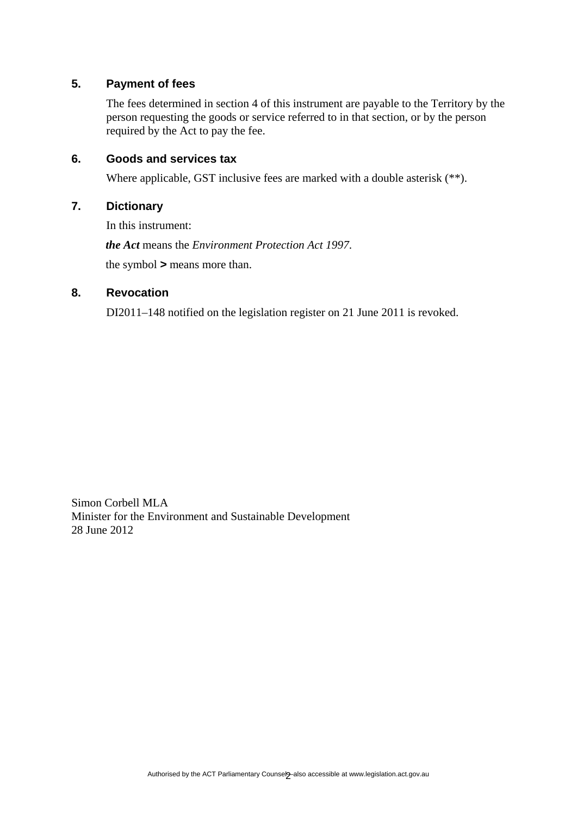#### **5. Payment of fees**

The fees determined in section 4 of this instrument are payable to the Territory by the person requesting the goods or service referred to in that section, or by the person required by the Act to pay the fee.

#### **6. Goods and services tax**

Where applicable, GST inclusive fees are marked with a double asterisk (\*\*).

#### **7. Dictionary**

In this instrument:

*the Act* means the *Environment Protection Act 1997*.

the symbol *>* means more than.

## **8. Revocation**

DI2011–148 notified on the legislation register on 21 June 2011 is revoked.

Simon Corbell MLA Minister for the Environment and Sustainable Development 28 June 2012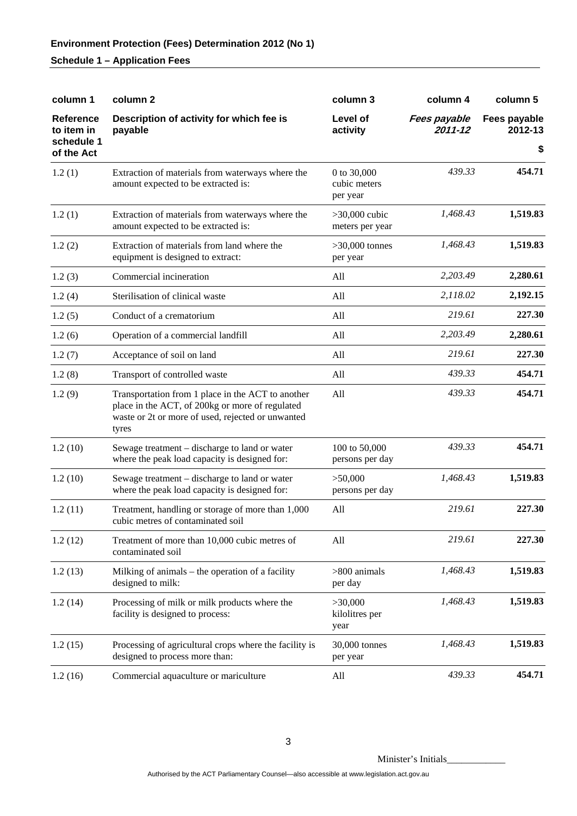## **Schedule 1 – Application Fees**

| column 1                                     | column <sub>2</sub>                                                                                                                                                | column 3                                | column 4                | column 5                |
|----------------------------------------------|--------------------------------------------------------------------------------------------------------------------------------------------------------------------|-----------------------------------------|-------------------------|-------------------------|
| <b>Reference</b><br>to item in<br>schedule 1 | Description of activity for which fee is<br>payable                                                                                                                | Level of<br>activity                    | Fees payable<br>2011-12 | Fees payable<br>2012-13 |
| of the Act                                   |                                                                                                                                                                    |                                         |                         | \$                      |
| 1.2(1)                                       | Extraction of materials from waterways where the<br>amount expected to be extracted is:                                                                            | 0 to 30,000<br>cubic meters<br>per year | 439.33                  | 454.71                  |
| 1.2(1)                                       | Extraction of materials from waterways where the<br>amount expected to be extracted is:                                                                            | >30,000 cubic<br>meters per year        | 1,468.43                | 1,519.83                |
| 1.2(2)                                       | Extraction of materials from land where the<br>equipment is designed to extract:                                                                                   | $>30,000$ tonnes<br>per year            | 1,468.43                | 1,519.83                |
| 1.2(3)                                       | Commercial incineration                                                                                                                                            | All                                     | 2,203.49                | 2,280.61                |
| 1.2(4)                                       | Sterilisation of clinical waste                                                                                                                                    | All                                     | 2,118.02                | 2,192.15                |
| 1.2(5)                                       | Conduct of a crematorium                                                                                                                                           | All                                     | 219.61                  | 227.30                  |
| 1.2(6)                                       | Operation of a commercial landfill                                                                                                                                 | All                                     | 2,203.49                | 2,280.61                |
| 1.2(7)                                       | Acceptance of soil on land                                                                                                                                         | All                                     | 219.61                  | 227.30                  |
| 1.2(8)                                       | Transport of controlled waste                                                                                                                                      | All                                     | 439.33                  | 454.71                  |
| 1.2(9)                                       | Transportation from 1 place in the ACT to another<br>place in the ACT, of 200kg or more of regulated<br>waste or 2t or more of used, rejected or unwanted<br>tyres | All                                     | 439.33                  | 454.71                  |
| 1.2(10)                                      | Sewage treatment – discharge to land or water<br>where the peak load capacity is designed for:                                                                     | 100 to 50,000<br>persons per day        | 439.33                  | 454.71                  |
| 1.2(10)                                      | Sewage treatment – discharge to land or water<br>where the peak load capacity is designed for:                                                                     | >50,000<br>persons per day              | 1,468.43                | 1,519.83                |
| 1.2(11)                                      | Treatment, handling or storage of more than 1,000<br>cubic metres of contaminated soil                                                                             | All                                     | 219.61                  | 227.30                  |
| 1.2(12)                                      | Treatment of more than 10,000 cubic metres of<br>contaminated soil                                                                                                 | All                                     | 219.61                  | 227.30                  |
| 1.2(13)                                      | Milking of animals $-$ the operation of a facility<br>designed to milk:                                                                                            | $>800$ animals<br>per day               | 1,468.43                | 1,519.83                |
| 1.2(14)                                      | Processing of milk or milk products where the<br>facility is designed to process:                                                                                  | >30,000<br>kilolitres per<br>year       | 1,468.43                | 1,519.83                |
| 1.2(15)                                      | Processing of agricultural crops where the facility is<br>designed to process more than:                                                                           | 30,000 tonnes<br>per year               | 1,468.43                | 1,519.83                |
| 1.2(16)                                      | Commercial aquaculture or mariculture                                                                                                                              | All                                     | 439.33                  | 454.71                  |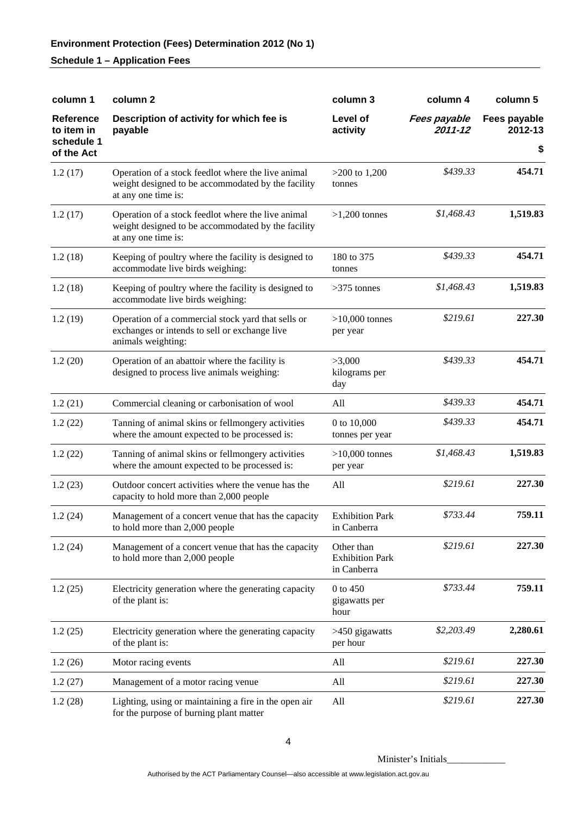## **Schedule 1 – Application Fees**

| column 1                                     | column <sub>2</sub>                                                                                                             | column 3                                            | column 4                | column 5                |
|----------------------------------------------|---------------------------------------------------------------------------------------------------------------------------------|-----------------------------------------------------|-------------------------|-------------------------|
| <b>Reference</b><br>to item in<br>schedule 1 | Description of activity for which fee is<br>payable                                                                             | Level of<br>activity                                | Fees payable<br>2011-12 | Fees payable<br>2012-13 |
| of the Act                                   |                                                                                                                                 |                                                     |                         | \$                      |
| 1.2(17)                                      | Operation of a stock feedlot where the live animal<br>weight designed to be accommodated by the facility<br>at any one time is: | $>200$ to 1,200<br>tonnes                           | \$439.33                | 454.71                  |
| 1.2(17)                                      | Operation of a stock feedlot where the live animal<br>weight designed to be accommodated by the facility<br>at any one time is: | $>1,200$ tonnes                                     | \$1,468.43              | 1,519.83                |
| 1.2(18)                                      | Keeping of poultry where the facility is designed to<br>accommodate live birds weighing:                                        | 180 to 375<br>tonnes                                | \$439.33                | 454.71                  |
| 1.2(18)                                      | Keeping of poultry where the facility is designed to<br>accommodate live birds weighing:                                        | $>375$ tonnes                                       | \$1,468.43              | 1,519.83                |
| 1.2(19)                                      | Operation of a commercial stock yard that sells or<br>exchanges or intends to sell or exchange live<br>animals weighting:       | $>10,000$ tonnes<br>per year                        | \$219.61                | 227.30                  |
| 1.2(20)                                      | Operation of an abattoir where the facility is<br>designed to process live animals weighing:                                    | >3,000<br>kilograms per<br>day                      | \$439.33                | 454.71                  |
| 1.2(21)                                      | Commercial cleaning or carbonisation of wool                                                                                    | All                                                 | \$439.33                | 454.71                  |
| 1.2(22)                                      | Tanning of animal skins or fellmongery activities<br>where the amount expected to be processed is:                              | 0 to 10,000<br>tonnes per year                      | \$439.33                | 454.71                  |
| 1.2(22)                                      | Tanning of animal skins or fellmongery activities<br>where the amount expected to be processed is:                              | $>10,000$ tonnes<br>per year                        | \$1,468.43              | 1,519.83                |
| 1.2(23)                                      | Outdoor concert activities where the venue has the<br>capacity to hold more than 2,000 people                                   | All                                                 | \$219.61                | 227.30                  |
| 1.2(24)                                      | Management of a concert venue that has the capacity<br>to hold more than 2,000 people                                           | <b>Exhibition Park</b><br>in Canberra               | \$733.44                | 759.11                  |
| 1.2(24)                                      | Management of a concert venue that has the capacity<br>to hold more than 2,000 people                                           | Other than<br><b>Exhibition Park</b><br>in Canberra | \$219.61                | 227.30                  |
| 1.2(25)                                      | Electricity generation where the generating capacity<br>of the plant is:                                                        | 0 to 450<br>gigawatts per<br>hour                   | \$733.44                | 759.11                  |
| 1.2(25)                                      | Electricity generation where the generating capacity<br>of the plant is:                                                        | >450 gigawatts<br>per hour                          | \$2,203.49              | 2,280.61                |
| 1.2(26)                                      | Motor racing events                                                                                                             | All                                                 | \$219.61                | 227.30                  |
| 1.2(27)                                      | Management of a motor racing venue                                                                                              | All                                                 | \$219.61                | 227.30                  |
| 1.2(28)                                      | Lighting, using or maintaining a fire in the open air<br>for the purpose of burning plant matter                                | All                                                 | \$219.61                | 227.30                  |

Minister's Initials\_\_\_\_\_\_\_\_\_\_\_\_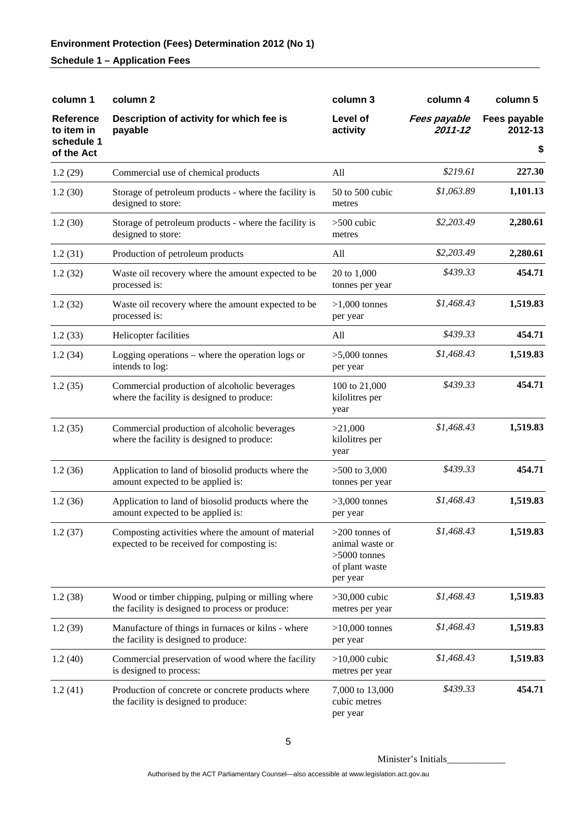| column 1                                     | column <sub>2</sub>                                                                                  | column 3                                                                            | column 4                       | column 5                |
|----------------------------------------------|------------------------------------------------------------------------------------------------------|-------------------------------------------------------------------------------------|--------------------------------|-------------------------|
| <b>Reference</b><br>to item in<br>schedule 1 | Description of activity for which fee is<br>payable                                                  | Level of<br>activity                                                                | <b>Fees payable</b><br>2011-12 | Fees payable<br>2012-13 |
| of the Act                                   |                                                                                                      |                                                                                     |                                | \$                      |
| 1.2(29)                                      | Commercial use of chemical products                                                                  | All                                                                                 | \$219.61                       | 227.30                  |
| 1.2(30)                                      | Storage of petroleum products - where the facility is<br>designed to store:                          | 50 to 500 cubic<br>metres                                                           | \$1,063.89                     | 1,101.13                |
| 1.2(30)                                      | Storage of petroleum products - where the facility is<br>designed to store:                          | $>500$ cubic<br>metres                                                              | \$2,203.49                     | 2,280.61                |
| 1.2(31)                                      | Production of petroleum products                                                                     | All                                                                                 | \$2,203.49                     | 2,280.61                |
| 1.2(32)                                      | Waste oil recovery where the amount expected to be<br>processed is:                                  | 20 to 1,000<br>tonnes per year                                                      | \$439.33                       | 454.71                  |
| 1.2(32)                                      | Waste oil recovery where the amount expected to be<br>processed is:                                  | $>1,000$ tonnes<br>per year                                                         | \$1,468.43                     | 1,519.83                |
| 1.2(33)                                      | Helicopter facilities                                                                                | All                                                                                 | \$439.33                       | 454.71                  |
| 1.2(34)                                      | Logging operations – where the operation logs or<br>intends to log:                                  | $>5,000$ tonnes<br>per year                                                         | \$1,468.43                     | 1,519.83                |
| 1.2(35)                                      | Commercial production of alcoholic beverages<br>where the facility is designed to produce:           | 100 to 21,000<br>kilolitres per<br>year                                             | \$439.33                       | 454.71                  |
| 1.2(35)                                      | Commercial production of alcoholic beverages<br>where the facility is designed to produce:           | >21,000<br>kilolitres per<br>year                                                   | \$1,468.43                     | 1,519.83                |
| 1.2(36)                                      | Application to land of biosolid products where the<br>amount expected to be applied is:              | $>500$ to 3,000<br>tonnes per year                                                  | \$439.33                       | 454.71                  |
| 1.2(36)                                      | Application to land of biosolid products where the<br>amount expected to be applied is:              | $>3,000$ tonnes<br>per year                                                         | \$1,468.43                     | 1,519.83                |
| 1.2(37)                                      | Composting activities where the amount of material<br>expected to be received for composting is:     | $>200$ tonnes of<br>animal waste or<br>$>5000$ tonnes<br>of plant waste<br>per year | \$1,468.43                     | 1,519.83                |
| 1.2(38)                                      | Wood or timber chipping, pulping or milling where<br>the facility is designed to process or produce: | $>30,000$ cubic<br>metres per year                                                  | \$1,468.43                     | 1,519.83                |
| 1.2(39)                                      | Manufacture of things in furnaces or kilns - where<br>the facility is designed to produce:           | $>10,000$ tonnes<br>per year                                                        | \$1,468.43                     | 1,519.83                |
| 1.2(40)                                      | Commercial preservation of wood where the facility<br>is designed to process:                        | $>10,000$ cubic<br>metres per year                                                  | \$1,468.43                     | 1,519.83                |
| 1.2(41)                                      | Production of concrete or concrete products where<br>the facility is designed to produce:            | 7,000 to 13,000<br>cubic metres<br>per year                                         | \$439.33                       | 454.71                  |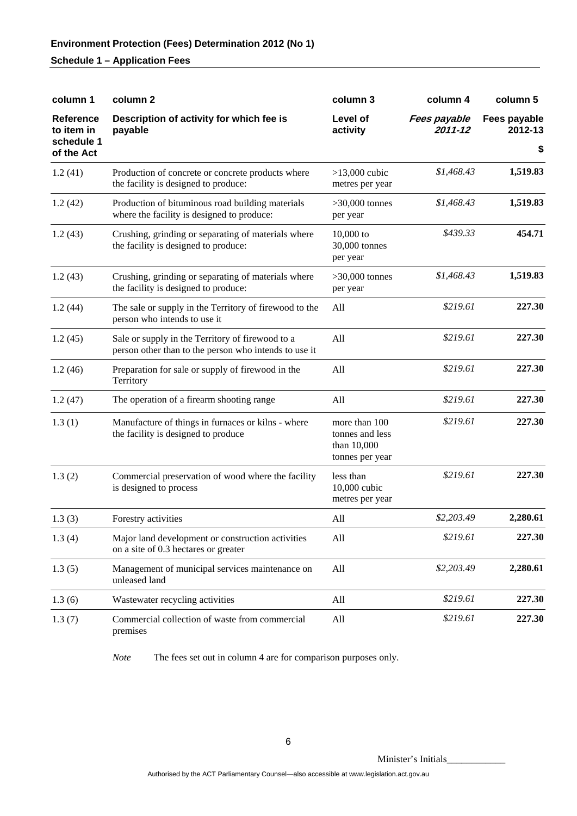#### **Schedule 1 – Application Fees**

| column 1                              | column 2                                                                                                  | column 3                                                           | column 4                | column 5                |
|---------------------------------------|-----------------------------------------------------------------------------------------------------------|--------------------------------------------------------------------|-------------------------|-------------------------|
| Reference<br>to item in<br>schedule 1 | Description of activity for which fee is<br>payable                                                       | Level of<br>activity                                               | Fees payable<br>2011-12 | Fees payable<br>2012-13 |
| of the Act                            |                                                                                                           |                                                                    |                         | \$                      |
| 1.2(41)                               | Production of concrete or concrete products where<br>the facility is designed to produce:                 | $>13,000$ cubic<br>metres per year                                 | \$1,468.43              | 1,519.83                |
| 1.2(42)                               | Production of bituminous road building materials<br>where the facility is designed to produce:            | $>30,000$ tonnes<br>per year                                       | \$1,468.43              | 1,519.83                |
| 1.2(43)                               | Crushing, grinding or separating of materials where<br>the facility is designed to produce:               | $10,000$ to<br>30,000 tonnes<br>per year                           | \$439.33                | 454.71                  |
| 1.2(43)                               | Crushing, grinding or separating of materials where<br>the facility is designed to produce:               | $>30,000$ tonnes<br>per year                                       | \$1,468.43              | 1,519.83                |
| 1.2(44)                               | The sale or supply in the Territory of firewood to the<br>person who intends to use it                    | All                                                                | \$219.61                | 227.30                  |
| 1.2(45)                               | Sale or supply in the Territory of firewood to a<br>person other than to the person who intends to use it | All                                                                | \$219.61                | 227.30                  |
| 1.2(46)                               | Preparation for sale or supply of firewood in the<br>Territory                                            | All                                                                | \$219.61                | 227.30                  |
| 1.2(47)                               | The operation of a firearm shooting range                                                                 | All                                                                | \$219.61                | 227.30                  |
| 1.3(1)                                | Manufacture of things in furnaces or kilns - where<br>the facility is designed to produce                 | more than 100<br>tonnes and less<br>than 10,000<br>tonnes per year | \$219.61                | 227.30                  |
| 1.3(2)                                | Commercial preservation of wood where the facility<br>is designed to process                              | less than<br>10,000 cubic<br>metres per year                       | \$219.61                | 227.30                  |
| 1.3(3)                                | Forestry activities                                                                                       | All                                                                | \$2,203.49              | 2,280.61                |
| 1.3(4)                                | Major land development or construction activities<br>on a site of 0.3 hectares or greater                 | All                                                                | \$219.61                | 227.30                  |
| 1.3(5)                                | Management of municipal services maintenance on<br>unleased land                                          | All                                                                | \$2,203.49              | 2,280.61                |
| 1.3(6)                                | Wastewater recycling activities                                                                           | All                                                                | \$219.61                | 227.30                  |
| 1.3(7)                                | Commercial collection of waste from commercial<br>premises                                                | All                                                                | \$219.61                | 227.30                  |

*Note* The fees set out in column 4 are for comparison purposes only.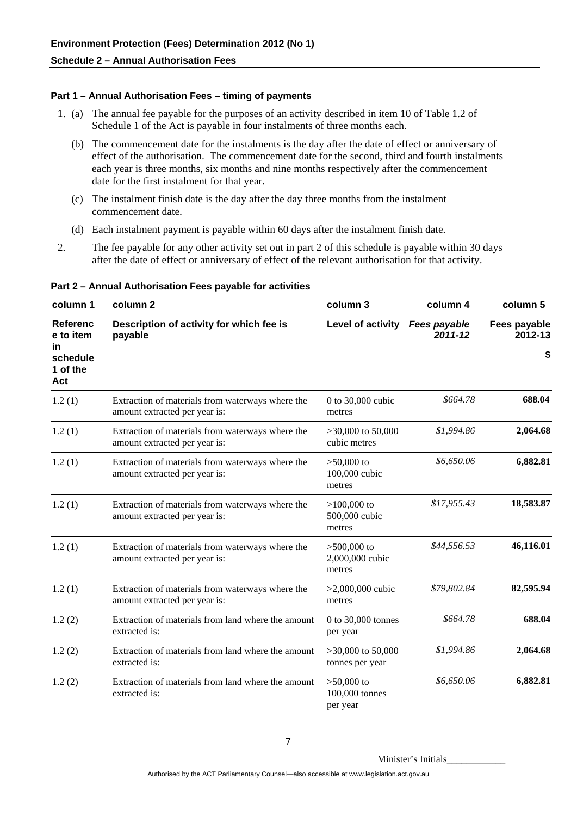#### **Part 1 – Annual Authorisation Fees – timing of payments**

- 1. (a) The annual fee payable for the purposes of an activity described in item 10 of Table 1.2 of Schedule 1 of the Act is payable in four instalments of three months each.
	- (b) The commencement date for the instalments is the day after the date of effect or anniversary of effect of the authorisation. The commencement date for the second, third and fourth instalments each year is three months, six months and nine months respectively after the commencement date for the first instalment for that year.
	- (c) The instalment finish date is the day after the day three months from the instalment commencement date.
	- (d) Each instalment payment is payable within 60 days after the instalment finish date.
- 2. The fee payable for any other activity set out in part 2 of this schedule is payable within 30 days after the date of effect or anniversary of effect of the relevant authorisation for that activity.

| column 1                                 | column 2                                                                          | column 3                                   | column 4                | column 5                       |
|------------------------------------------|-----------------------------------------------------------------------------------|--------------------------------------------|-------------------------|--------------------------------|
| <b>Referenc</b><br>e to item             | Description of activity for which fee is<br>payable                               | Level of activity                          | Fees payable<br>2011-12 | <b>Fees payable</b><br>2012-13 |
| <b>in</b><br>schedule<br>1 of the<br>Act |                                                                                   |                                            |                         | \$                             |
| 1.2(1)                                   | Extraction of materials from waterways where the<br>amount extracted per year is: | 0 to 30,000 cubic<br>metres                | \$664.78                | 688.04                         |
| 1.2(1)                                   | Extraction of materials from waterways where the<br>amount extracted per year is: | $>30,000$ to 50,000<br>cubic metres        | \$1,994.86              | 2,064.68                       |
| 1.2(1)                                   | Extraction of materials from waterways where the<br>amount extracted per year is: | $>50,000$ to<br>100,000 cubic<br>metres    | \$6,650.06              | 6,882.81                       |
| 1.2(1)                                   | Extraction of materials from waterways where the<br>amount extracted per year is: | $>100,000$ to<br>500,000 cubic<br>metres   | \$17,955.43             | 18,583.87                      |
| 1.2(1)                                   | Extraction of materials from waterways where the<br>amount extracted per year is: | $>500,000$ to<br>2,000,000 cubic<br>metres | \$44,556.53             | 46,116.01                      |
| 1.2(1)                                   | Extraction of materials from waterways where the<br>amount extracted per year is: | $>2,000,000$ cubic<br>metres               | \$79,802.84             | 82,595.94                      |
| 1.2(2)                                   | Extraction of materials from land where the amount<br>extracted is:               | 0 to 30,000 tonnes<br>per year             | \$664.78                | 688.04                         |
| 1.2(2)                                   | Extraction of materials from land where the amount<br>extracted is:               | $>30,000$ to 50,000<br>tonnes per year     | \$1,994.86              | 2,064.68                       |
| 1.2(2)                                   | Extraction of materials from land where the amount<br>extracted is:               | $>50,000$ to<br>100,000 tonnes<br>per year | \$6,650.06              | 6,882.81                       |

**Part 2 – Annual Authorisation Fees payable for activities**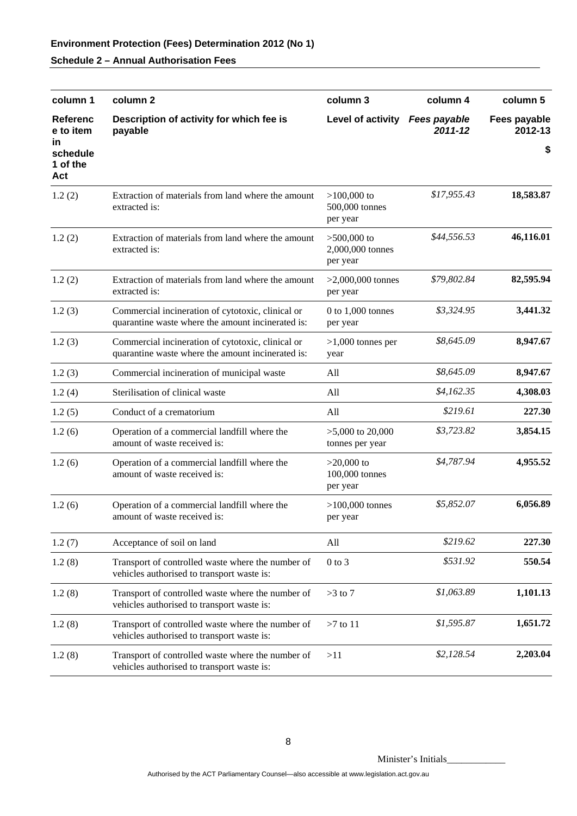| column 1                            | column <sub>2</sub>                                                                                    | column 3                                      | column 4                | column 5                |
|-------------------------------------|--------------------------------------------------------------------------------------------------------|-----------------------------------------------|-------------------------|-------------------------|
| <b>Referenc</b><br>e to item<br>in. | Description of activity for which fee is<br>payable                                                    | Level of activity                             | Fees payable<br>2011-12 | Fees payable<br>2012-13 |
| schedule<br>1 of the<br>Act         |                                                                                                        |                                               |                         | \$                      |
| 1.2(2)                              | Extraction of materials from land where the amount<br>extracted is:                                    | $>100,000$ to<br>500,000 tonnes<br>per year   | \$17,955.43             | 18,583.87               |
| 1.2(2)                              | Extraction of materials from land where the amount<br>extracted is:                                    | $>500,000$ to<br>2,000,000 tonnes<br>per year | \$44,556.53             | 46,116.01               |
| 1.2(2)                              | Extraction of materials from land where the amount<br>extracted is:                                    | $>2,000,000$ tonnes<br>per year               | \$79,802.84             | 82,595.94               |
| 1.2(3)                              | Commercial incineration of cytotoxic, clinical or<br>quarantine waste where the amount incinerated is: | $0$ to $1,000$ tonnes<br>per year             | \$3,324.95              | 3,441.32                |
| 1.2(3)                              | Commercial incineration of cytotoxic, clinical or<br>quarantine waste where the amount incinerated is: | $>1,000$ tonnes per<br>year                   | \$8,645.09              | 8,947.67                |
| 1.2(3)                              | Commercial incineration of municipal waste                                                             | All                                           | \$8,645.09              | 8,947.67                |
| 1.2(4)                              | Sterilisation of clinical waste                                                                        | All                                           | \$4,162.35              | 4,308.03                |
| 1.2(5)                              | Conduct of a crematorium                                                                               | All                                           | \$219.61                | 227.30                  |
| 1.2(6)                              | Operation of a commercial landfill where the<br>amount of waste received is:                           | $>5,000$ to $20,000$<br>tonnes per year       | \$3,723.82              | 3,854.15                |
| 1.2(6)                              | Operation of a commercial landfill where the<br>amount of waste received is:                           | $>20,000$ to<br>100,000 tonnes<br>per year    | \$4,787.94              | 4,955.52                |
| 1.2(6)                              | Operation of a commercial landfill where the<br>amount of waste received is:                           | $>100,000$ tonnes<br>per year                 | \$5,852.07              | 6,056.89                |
| 1.2(7)                              | Acceptance of soil on land                                                                             | All                                           | \$219.62                | 227.30                  |
| 1.2(8)                              | Transport of controlled waste where the number of<br>vehicles authorised to transport waste is:        | $0$ to $3$                                    | \$531.92                | 550.54                  |
| 1.2(8)                              | Transport of controlled waste where the number of<br>vehicles authorised to transport waste is:        | $>3$ to 7                                     | \$1,063.89              | 1,101.13                |
| 1.2(8)                              | Transport of controlled waste where the number of<br>vehicles authorised to transport waste is:        | $>7$ to 11                                    | \$1,595.87              | 1,651.72                |
| 1.2(8)                              | Transport of controlled waste where the number of<br>vehicles authorised to transport waste is:        | >11                                           | \$2,128.54              | 2,203.04                |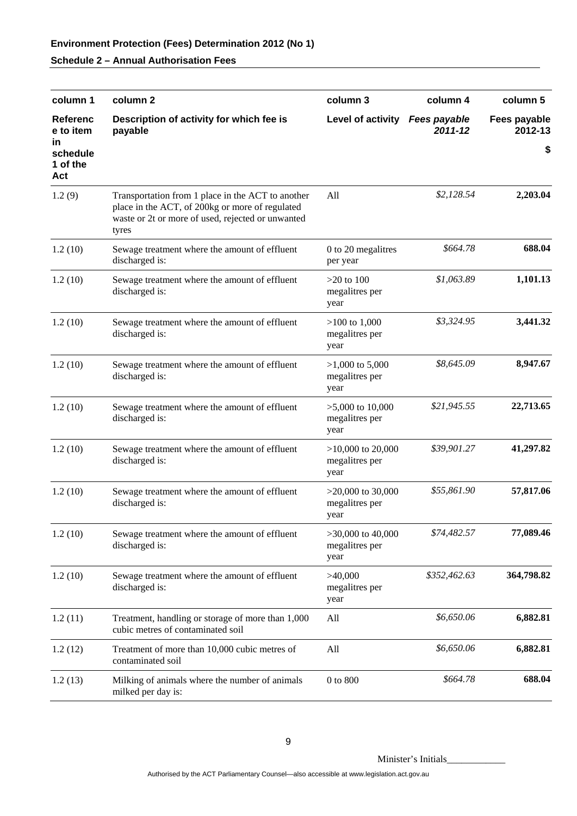| column 1                           | column <sub>2</sub>                                                                                                                                                | column 3                                      | column 4                       | column 5                |
|------------------------------------|--------------------------------------------------------------------------------------------------------------------------------------------------------------------|-----------------------------------------------|--------------------------------|-------------------------|
| <b>Referenc</b><br>e to item<br>in | Description of activity for which fee is<br>payable                                                                                                                | Level of activity                             | <b>Fees payable</b><br>2011-12 | Fees payable<br>2012-13 |
| schedule<br>1 of the<br>Act        |                                                                                                                                                                    |                                               |                                | \$                      |
| 1.2(9)                             | Transportation from 1 place in the ACT to another<br>place in the ACT, of 200kg or more of regulated<br>waste or 2t or more of used, rejected or unwanted<br>tyres | All                                           | \$2,128.54                     | 2,203.04                |
| 1.2(10)                            | Sewage treatment where the amount of effluent<br>discharged is:                                                                                                    | 0 to 20 megalitres<br>per year                | \$664.78                       | 688.04                  |
| 1.2(10)                            | Sewage treatment where the amount of effluent<br>discharged is:                                                                                                    | $>20$ to 100<br>megalitres per<br>year        | \$1,063.89                     | 1,101.13                |
| 1.2(10)                            | Sewage treatment where the amount of effluent<br>discharged is:                                                                                                    | $>100$ to 1,000<br>megalitres per<br>year     | \$3,324.95                     | 3,441.32                |
| 1.2(10)                            | Sewage treatment where the amount of effluent<br>discharged is:                                                                                                    | $>1,000$ to 5,000<br>megalitres per<br>year   | \$8,645.09                     | 8,947.67                |
| 1.2(10)                            | Sewage treatment where the amount of effluent<br>discharged is:                                                                                                    | $>5,000$ to 10,000<br>megalitres per<br>year  | \$21,945.55                    | 22,713.65               |
| 1.2(10)                            | Sewage treatment where the amount of effluent<br>discharged is:                                                                                                    | $>10,000$ to 20,000<br>megalitres per<br>year | \$39,901.27                    | 41,297.82               |
| 1.2(10)                            | Sewage treatment where the amount of effluent<br>discharged is:                                                                                                    | $>20,000$ to 30,000<br>megalitres per<br>year | \$55,861.90                    | 57,817.06               |
| 1.2(10)                            | Sewage treatment where the amount of effluent<br>discharged is:                                                                                                    | $>30,000$ to 40,000<br>megalitres per<br>year | \$74,482.57                    | 77,089.46               |
| 1.2(10)                            | Sewage treatment where the amount of effluent<br>discharged is:                                                                                                    | >40,000<br>megalitres per<br>year             | \$352,462.63                   | 364,798.82              |
| 1.2(11)                            | Treatment, handling or storage of more than 1,000<br>cubic metres of contaminated soil                                                                             | All                                           | \$6,650.06                     | 6,882.81                |
| 1.2(12)                            | Treatment of more than 10,000 cubic metres of<br>contaminated soil                                                                                                 | All                                           | \$6,650.06                     | 6,882.81                |
| 1.2(13)                            | Milking of animals where the number of animals<br>milked per day is:                                                                                               | $0$ to $800$                                  | \$664.78                       | 688.04                  |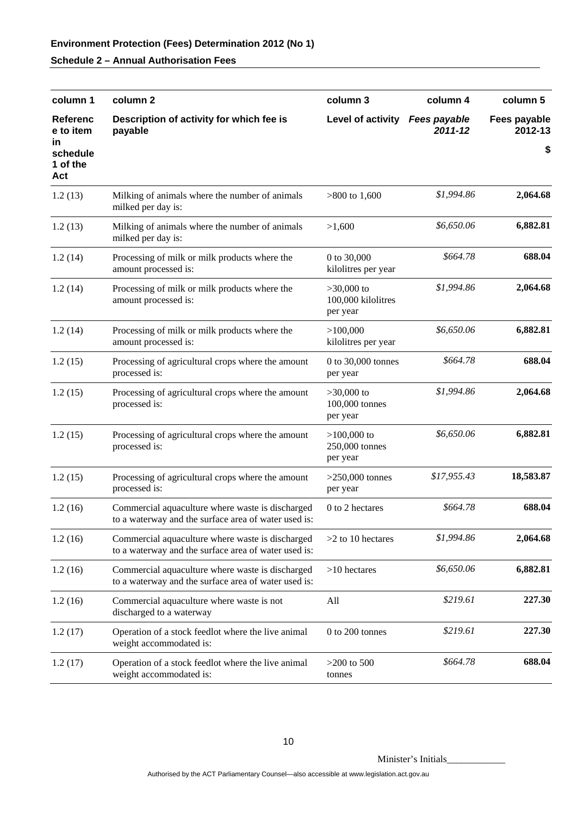| column 1                           | column 2                                                                                                 | column 3                                       | column 4    | column 5                |
|------------------------------------|----------------------------------------------------------------------------------------------------------|------------------------------------------------|-------------|-------------------------|
| <b>Referenc</b><br>e to item<br>in | Description of activity for which fee is<br>payable                                                      | Level of activity Fees payable                 | 2011-12     | Fees payable<br>2012-13 |
| schedule<br>1 of the<br>Act        |                                                                                                          |                                                |             | \$                      |
| 1.2(13)                            | Milking of animals where the number of animals<br>milked per day is:                                     | $>800$ to 1,600                                | \$1,994.86  | 2,064.68                |
| 1.2(13)                            | Milking of animals where the number of animals<br>milked per day is:                                     | >1,600                                         | \$6,650.06  | 6,882.81                |
| 1.2(14)                            | Processing of milk or milk products where the<br>amount processed is:                                    | 0 to 30,000<br>kilolitres per year             | \$664.78    | 688.04                  |
| 1.2(14)                            | Processing of milk or milk products where the<br>amount processed is:                                    | $>30,000$ to<br>100,000 kilolitres<br>per year | \$1,994.86  | 2,064.68                |
| 1.2(14)                            | Processing of milk or milk products where the<br>amount processed is:                                    | >100,000<br>kilolitres per year                | \$6,650.06  | 6,882.81                |
| 1.2(15)                            | Processing of agricultural crops where the amount<br>processed is:                                       | 0 to 30,000 tonnes<br>per year                 | \$664.78    | 688.04                  |
| 1.2(15)                            | Processing of agricultural crops where the amount<br>processed is:                                       | $>30,000$ to<br>100,000 tonnes<br>per year     | \$1,994.86  | 2,064.68                |
| 1.2(15)                            | Processing of agricultural crops where the amount<br>processed is:                                       | $>100,000$ to<br>250,000 tonnes<br>per year    | \$6,650.06  | 6,882.81                |
| 1.2(15)                            | Processing of agricultural crops where the amount<br>processed is:                                       | $>250,000$ tonnes<br>per year                  | \$17,955.43 | 18,583.87               |
| 1.2(16)                            | Commercial aquaculture where waste is discharged<br>to a waterway and the surface area of water used is: | 0 to 2 hectares                                | \$664.78    | 688.04                  |
| 1.2(16)                            | Commercial aquaculture where waste is discharged<br>to a waterway and the surface area of water used is: | $>2$ to 10 hectares                            | \$1,994.86  | 2,064.68                |
| 1.2(16)                            | Commercial aquaculture where waste is discharged<br>to a waterway and the surface area of water used is: | $>10$ hectares                                 | \$6,650.06  | 6,882.81                |
| 1.2(16)                            | Commercial aquaculture where waste is not<br>discharged to a waterway                                    | All                                            | \$219.61    | 227.30                  |
| 1.2(17)                            | Operation of a stock feedlot where the live animal<br>weight accommodated is:                            | $0$ to $200$ tonnes                            | \$219.61    | 227.30                  |
| 1.2(17)                            | Operation of a stock feedlot where the live animal<br>weight accommodated is:                            | $>200$ to 500<br>tonnes                        | \$664.78    | 688.04                  |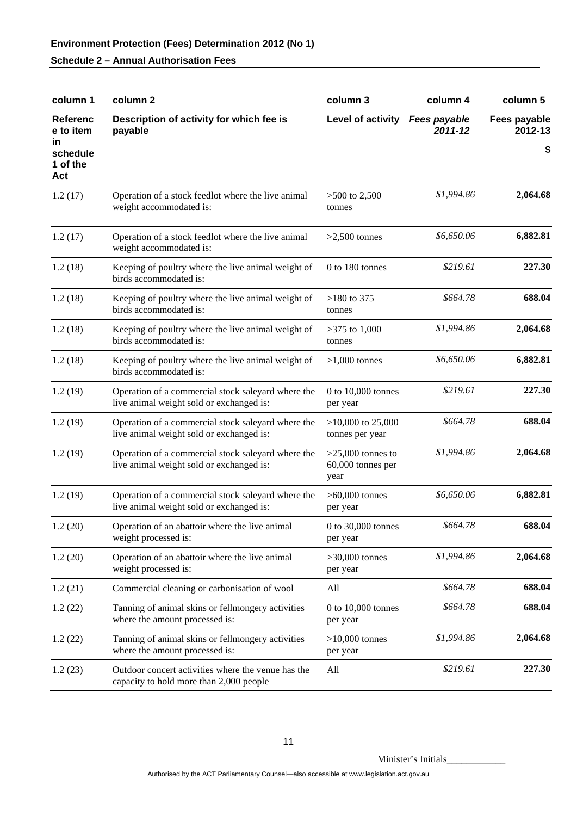| column 1                           | column <sub>2</sub>                                                                            | column 3                                         | column 4                       | column 5                |
|------------------------------------|------------------------------------------------------------------------------------------------|--------------------------------------------------|--------------------------------|-------------------------|
| <b>Referenc</b><br>e to item<br>in | Description of activity for which fee is<br>payable                                            | Level of activity                                | <b>Fees payable</b><br>2011-12 | Fees payable<br>2012-13 |
| schedule<br>1 of the<br>Act        |                                                                                                |                                                  |                                | \$                      |
| 1.2(17)                            | Operation of a stock feedlot where the live animal<br>weight accommodated is:                  | $>500$ to 2,500<br>tonnes                        | \$1,994.86                     | 2,064.68                |
| 1.2(17)                            | Operation of a stock feedlot where the live animal<br>weight accommodated is:                  | $>2,500$ tonnes                                  | \$6,650.06                     | 6,882.81                |
| 1.2(18)                            | Keeping of poultry where the live animal weight of<br>birds accommodated is:                   | 0 to 180 tonnes                                  | \$219.61                       | 227.30                  |
| 1.2(18)                            | Keeping of poultry where the live animal weight of<br>birds accommodated is:                   | $>180$ to 375<br>tonnes                          | \$664.78                       | 688.04                  |
| 1.2(18)                            | Keeping of poultry where the live animal weight of<br>birds accommodated is:                   | $>375$ to 1,000<br>tonnes                        | \$1,994.86                     | 2,064.68                |
| 1.2(18)                            | Keeping of poultry where the live animal weight of<br>birds accommodated is:                   | $>1,000$ tonnes                                  | \$6,650.06                     | 6,882.81                |
| 1.2(19)                            | Operation of a commercial stock saleyard where the<br>live animal weight sold or exchanged is: | $0$ to $10,000$ tonnes<br>per year               | \$219.61                       | 227.30                  |
| 1.2(19)                            | Operation of a commercial stock saleyard where the<br>live animal weight sold or exchanged is: | $>10,000$ to 25,000<br>tonnes per year           | \$664.78                       | 688.04                  |
| 1.2(19)                            | Operation of a commercial stock saleyard where the<br>live animal weight sold or exchanged is: | $>25,000$ tonnes to<br>60,000 tonnes per<br>year | \$1,994.86                     | 2,064.68                |
| 1.2(19)                            | Operation of a commercial stock saleyard where the<br>live animal weight sold or exchanged is: | $>60,000$ tonnes<br>per year                     | \$6,650.06                     | 6,882.81                |
| 1.2(20)                            | Operation of an abattoir where the live animal<br>weight processed is:                         | 0 to 30,000 tonnes<br>per year                   | \$664.78                       | 688.04                  |
| 1.2(20)                            | Operation of an abattoir where the live animal<br>weight processed is:                         | $>30,000$ tonnes<br>per year                     | \$1,994.86                     | 2,064.68                |
| 1.2(21)                            | Commercial cleaning or carbonisation of wool                                                   | All                                              | \$664.78                       | 688.04                  |
| 1.2(22)                            | Tanning of animal skins or fellmongery activities<br>where the amount processed is:            | 0 to 10,000 tonnes<br>per year                   | \$664.78                       | 688.04                  |
| 1.2(22)                            | Tanning of animal skins or fellmongery activities<br>where the amount processed is:            | $>10,000$ tonnes<br>per year                     | \$1,994.86                     | 2,064.68                |
| 1.2(23)                            | Outdoor concert activities where the venue has the<br>capacity to hold more than 2,000 people  | All                                              | \$219.61                       | 227.30                  |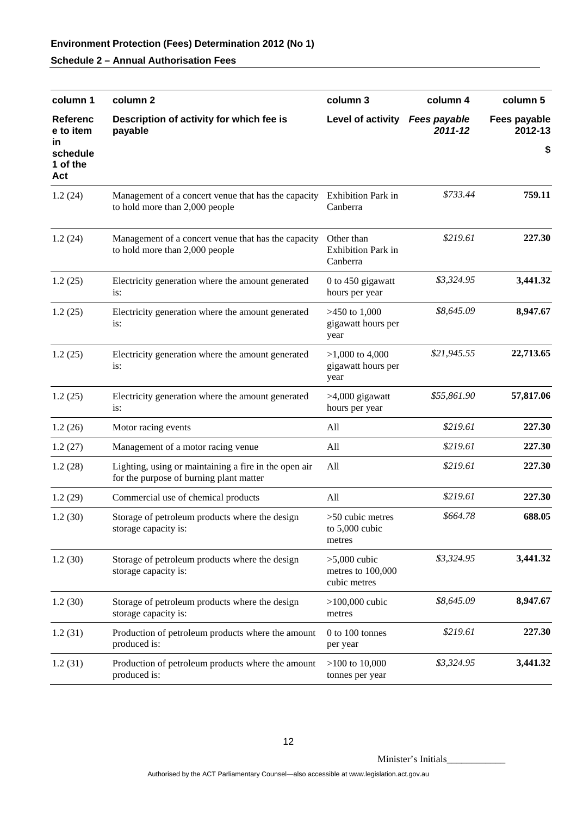| column 1                           | column <sub>2</sub>                                                                                      | column 3                                            | column 4                       | column 5                |
|------------------------------------|----------------------------------------------------------------------------------------------------------|-----------------------------------------------------|--------------------------------|-------------------------|
| <b>Referenc</b><br>e to item<br>in | Description of activity for which fee is<br>payable                                                      | Level of activity                                   | <b>Fees payable</b><br>2011-12 | Fees payable<br>2012-13 |
| schedule<br>1 of the<br>Act        |                                                                                                          |                                                     |                                | \$                      |
| 1.2(24)                            | Management of a concert venue that has the capacity Exhibition Park in<br>to hold more than 2,000 people | Canberra                                            | \$733.44                       | 759.11                  |
| 1.2(24)                            | Management of a concert venue that has the capacity<br>to hold more than 2,000 people                    | Other than<br><b>Exhibition Park in</b><br>Canberra | \$219.61                       | 227.30                  |
| 1.2(25)                            | Electricity generation where the amount generated<br>is:                                                 | 0 to 450 gigawatt<br>hours per year                 | \$3,324.95                     | 3,441.32                |
| 1.2(25)                            | Electricity generation where the amount generated<br>is:                                                 | $>450$ to 1,000<br>gigawatt hours per<br>year       | \$8,645.09                     | 8,947.67                |
| 1.2(25)                            | Electricity generation where the amount generated<br>is:                                                 | $>1,000$ to 4,000<br>gigawatt hours per<br>year     | \$21,945.55                    | 22,713.65               |
| 1.2(25)                            | Electricity generation where the amount generated<br>is:                                                 | $>4,000$ gigawatt<br>hours per year                 | \$55,861.90                    | 57,817.06               |
| 1.2(26)                            | Motor racing events                                                                                      | All                                                 | \$219.61                       | 227.30                  |
| 1.2(27)                            | Management of a motor racing venue                                                                       | All                                                 | \$219.61                       | 227.30                  |
| 1.2(28)                            | Lighting, using or maintaining a fire in the open air<br>for the purpose of burning plant matter         | All                                                 | \$219.61                       | 227.30                  |
| 1.2(29)                            | Commercial use of chemical products                                                                      | All                                                 | \$219.61                       | 227.30                  |
| 1.2(30)                            | Storage of petroleum products where the design<br>storage capacity is:                                   | >50 cubic metres<br>to $5,000$ cubic<br>metres      | \$664.78                       | 688.05                  |
| 1.2(30)                            | Storage of petroleum products where the design<br>storage capacity is:                                   | $>5,000$ cubic<br>metres to 100,000<br>cubic metres | \$3,324.95                     | 3,441.32                |
| 1.2(30)                            | Storage of petroleum products where the design<br>storage capacity is:                                   | $>100,000$ cubic<br>metres                          | \$8,645.09                     | 8,947.67                |
| 1.2(31)                            | Production of petroleum products where the amount<br>produced is:                                        | 0 to 100 tonnes<br>per year                         | \$219.61                       | 227.30                  |
| 1.2(31)                            | Production of petroleum products where the amount<br>produced is:                                        | $>100$ to 10,000<br>tonnes per year                 | \$3,324.95                     | 3,441.32                |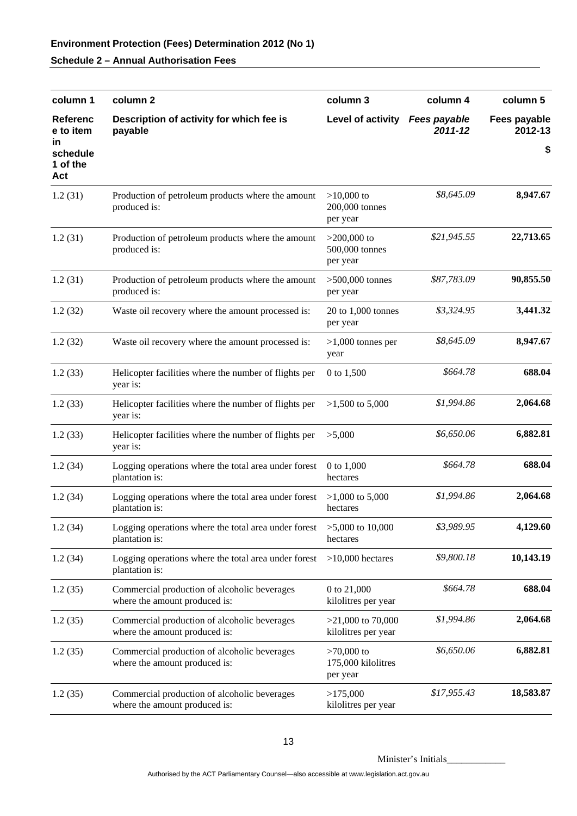| column 1                          | column <sub>2</sub>                                                           | column 3                                       | column 4                | column 5                |
|-----------------------------------|-------------------------------------------------------------------------------|------------------------------------------------|-------------------------|-------------------------|
| <b>Referenc</b><br>e to item      | Description of activity for which fee is<br>payable                           | Level of activity                              | Fees payable<br>2011-12 | Fees payable<br>2012-13 |
| in<br>schedule<br>1 of the<br>Act |                                                                               |                                                |                         | \$                      |
| 1.2(31)                           | Production of petroleum products where the amount<br>produced is:             | $>10,000$ to<br>200,000 tonnes<br>per year     | \$8,645.09              | 8,947.67                |
| 1.2(31)                           | Production of petroleum products where the amount<br>produced is:             | $>200,000$ to<br>500,000 tonnes<br>per year    | \$21,945.55             | 22,713.65               |
| 1.2(31)                           | Production of petroleum products where the amount<br>produced is:             | $>500,000$ tonnes<br>per year                  | \$87,783.09             | 90,855.50               |
| 1.2(32)                           | Waste oil recovery where the amount processed is:                             | 20 to 1,000 tonnes<br>per year                 | \$3,324.95              | 3,441.32                |
| 1.2(32)                           | Waste oil recovery where the amount processed is:                             | $>1,000$ tonnes per<br>year                    | \$8,645.09              | 8,947.67                |
| 1.2(33)                           | Helicopter facilities where the number of flights per<br>year is:             | 0 to 1,500                                     | \$664.78                | 688.04                  |
| 1.2(33)                           | Helicopter facilities where the number of flights per<br>year is:             | $>1,500$ to 5,000                              | \$1,994.86              | 2,064.68                |
| 1.2(33)                           | Helicopter facilities where the number of flights per<br>year is:             | >5,000                                         | \$6,650.06              | 6,882.81                |
| 1.2(34)                           | Logging operations where the total area under forest<br>plantation is:        | 0 to 1,000<br>hectares                         | \$664.78                | 688.04                  |
| 1.2(34)                           | Logging operations where the total area under forest<br>plantation is:        | $>1,000$ to 5,000<br>hectares                  | \$1,994.86              | 2,064.68                |
| 1.2(34)                           | Logging operations where the total area under forest<br>plantation is:        | $>5,000$ to 10,000<br>hectares                 | \$3,989.95              | 4,129.60                |
| 1.2(34)                           | Logging operations where the total area under forest<br>plantation is:        | $>10,000$ hectares                             | \$9,800.18              | 10,143.19               |
| 1.2(35)                           | Commercial production of alcoholic beverages<br>where the amount produced is: | 0 to 21,000<br>kilolitres per year             | \$664.78                | 688.04                  |
| 1.2(35)                           | Commercial production of alcoholic beverages<br>where the amount produced is: | $>21,000$ to 70,000<br>kilolitres per year     | \$1,994.86              | 2,064.68                |
| 1.2(35)                           | Commercial production of alcoholic beverages<br>where the amount produced is: | $>70,000$ to<br>175,000 kilolitres<br>per year | \$6,650.06              | 6,882.81                |
| 1.2(35)                           | Commercial production of alcoholic beverages<br>where the amount produced is: | >175,000<br>kilolitres per year                | \$17,955.43             | 18,583.87               |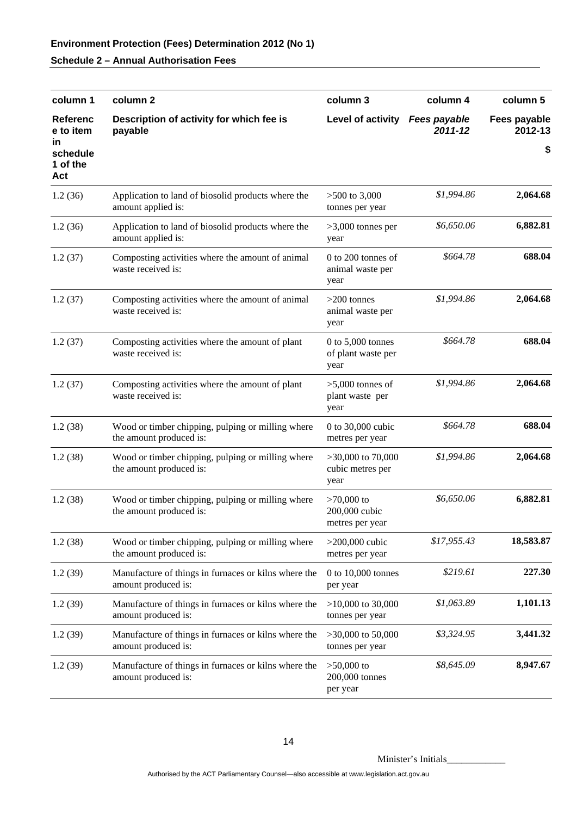| column 1                            | column <sub>2</sub>                                                          | column 3                                          | column 4    | column 5                      |
|-------------------------------------|------------------------------------------------------------------------------|---------------------------------------------------|-------------|-------------------------------|
| <b>Referenc</b><br>e to item<br>in. | Description of activity for which fee is<br>payable                          | Level of activity Fees payable                    | 2011-12     | Fees payable<br>2012-13<br>\$ |
| schedule<br>1 of the<br>Act         |                                                                              |                                                   |             |                               |
| 1.2(36)                             | Application to land of biosolid products where the<br>amount applied is:     | $>500$ to 3,000<br>tonnes per year                | \$1,994.86  | 2,064.68                      |
| 1.2(36)                             | Application to land of biosolid products where the<br>amount applied is:     | $>3,000$ tonnes per<br>year                       | \$6,650.06  | 6,882.81                      |
| 1.2(37)                             | Composting activities where the amount of animal<br>waste received is:       | $0$ to 200 tonnes of<br>animal waste per<br>year  | \$664.78    | 688.04                        |
| 1.2(37)                             | Composting activities where the amount of animal<br>waste received is:       | $>200$ tonnes<br>animal waste per<br>year         | \$1,994.86  | 2,064.68                      |
| 1.2(37)                             | Composting activities where the amount of plant<br>waste received is:        | $0$ to 5,000 tonnes<br>of plant waste per<br>year | \$664.78    | 688.04                        |
| 1.2(37)                             | Composting activities where the amount of plant<br>waste received is:        | $>5,000$ tonnes of<br>plant waste per<br>year     | \$1,994.86  | 2,064.68                      |
| 1.2(38)                             | Wood or timber chipping, pulping or milling where<br>the amount produced is: | 0 to 30,000 cubic<br>metres per year              | \$664.78    | 688.04                        |
| 1.2(38)                             | Wood or timber chipping, pulping or milling where<br>the amount produced is: | $>30,000$ to 70,000<br>cubic metres per<br>year   | \$1,994.86  | 2,064.68                      |
| 1.2(38)                             | Wood or timber chipping, pulping or milling where<br>the amount produced is: | $>70,000$ to<br>200,000 cubic<br>metres per year  | \$6,650.06  | 6,882.81                      |
| 1.2(38)                             | Wood or timber chipping, pulping or milling where<br>the amount produced is: | $>200,000$ cubic<br>metres per year               | \$17,955.43 | 18,583.87                     |
| 1.2(39)                             | Manufacture of things in furnaces or kilns where the<br>amount produced is:  | 0 to 10,000 tonnes<br>per year                    | \$219.61    | 227.30                        |
| 1.2(39)                             | Manufacture of things in furnaces or kilns where the<br>amount produced is:  | $>10,000$ to 30,000<br>tonnes per year            | \$1,063.89  | 1,101.13                      |
| 1.2(39)                             | Manufacture of things in furnaces or kilns where the<br>amount produced is:  | $>30,000$ to 50,000<br>tonnes per year            | \$3,324.95  | 3,441.32                      |
| 1.2(39)                             | Manufacture of things in furnaces or kilns where the<br>amount produced is:  | $>50,000$ to<br>200,000 tonnes<br>per year        | \$8,645.09  | 8,947.67                      |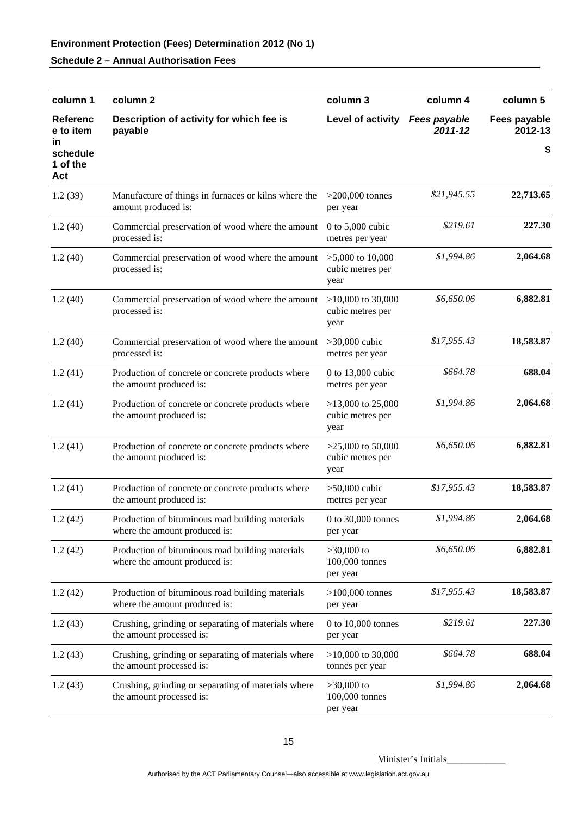| column 1                           | column <sub>2</sub>                                                               | column 3                                        | column 4    | column 5                |
|------------------------------------|-----------------------------------------------------------------------------------|-------------------------------------------------|-------------|-------------------------|
| <b>Referenc</b><br>e to item<br>in | Description of activity for which fee is<br>payable                               | Level of activity Fees payable                  | 2011-12     | Fees payable<br>2012-13 |
| schedule<br>1 of the<br>Act        |                                                                                   |                                                 |             | \$                      |
| 1.2(39)                            | Manufacture of things in furnaces or kilns where the<br>amount produced is:       | $>200,000$ tonnes<br>per year                   | \$21,945.55 | 22,713.65               |
| 1.2(40)                            | Commercial preservation of wood where the amount<br>processed is:                 | 0 to $5,000$ cubic<br>metres per year           | \$219.61    | 227.30                  |
| 1.2(40)                            | Commercial preservation of wood where the amount<br>processed is:                 | $>5,000$ to 10,000<br>cubic metres per<br>year  | \$1,994.86  | 2,064.68                |
| 1.2(40)                            | Commercial preservation of wood where the amount<br>processed is:                 | $>10,000$ to 30,000<br>cubic metres per<br>year | \$6,650.06  | 6,882.81                |
| 1.2(40)                            | Commercial preservation of wood where the amount $>30,000$ cubic<br>processed is: | metres per year                                 | \$17,955.43 | 18,583.87               |
| 1.2(41)                            | Production of concrete or concrete products where<br>the amount produced is:      | 0 to 13,000 cubic<br>metres per year            | \$664.78    | 688.04                  |
| 1.2(41)                            | Production of concrete or concrete products where<br>the amount produced is:      | $>13,000$ to 25,000<br>cubic metres per<br>year | \$1,994.86  | 2,064.68                |
| 1.2(41)                            | Production of concrete or concrete products where<br>the amount produced is:      | $>25,000$ to 50,000<br>cubic metres per<br>year | \$6,650.06  | 6,882.81                |
| 1.2(41)                            | Production of concrete or concrete products where<br>the amount produced is:      | $>50,000$ cubic<br>metres per year              | \$17,955.43 | 18,583.87               |
| 1.2(42)                            | Production of bituminous road building materials<br>where the amount produced is: | 0 to 30,000 tonnes<br>per year                  | \$1,994.86  | 2,064.68                |
| 1.2(42)                            | Production of bituminous road building materials<br>where the amount produced is: | $>30,000$ to<br>100,000 tonnes<br>per year      | \$6,650.06  | 6,882.81                |
| 1.2(42)                            | Production of bituminous road building materials<br>where the amount produced is: | $>100,000$ tonnes<br>per year                   | \$17,955.43 | 18,583.87               |
| 1.2(43)                            | Crushing, grinding or separating of materials where<br>the amount processed is:   | 0 to 10,000 tonnes<br>per year                  | \$219.61    | 227.30                  |
| 1.2(43)                            | Crushing, grinding or separating of materials where<br>the amount processed is:   | $>10,000$ to 30,000<br>tonnes per year          | \$664.78    | 688.04                  |
| 1.2(43)                            | Crushing, grinding or separating of materials where<br>the amount processed is:   | $>30,000$ to<br>100,000 tonnes<br>per year      | \$1,994.86  | 2,064.68                |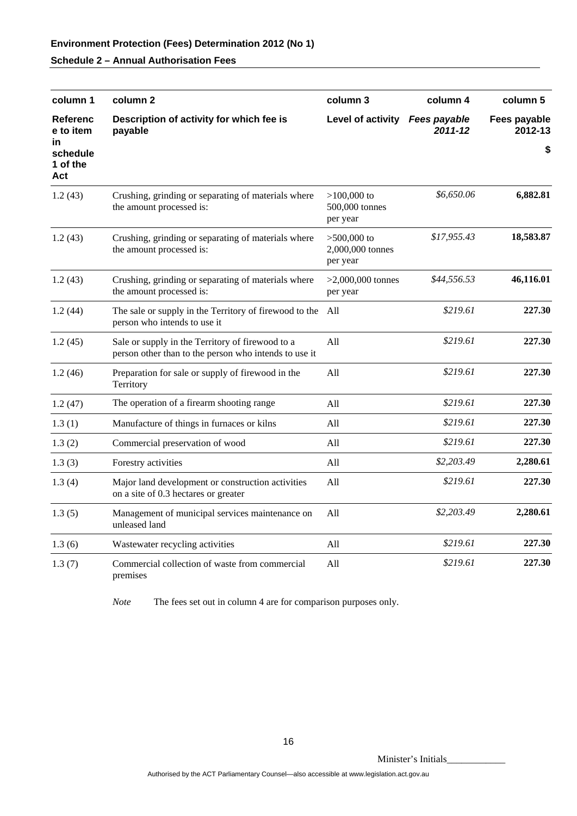| column 1                          | column <sub>2</sub>                                                                                       | column 3                                      | column 4                | column 5                |
|-----------------------------------|-----------------------------------------------------------------------------------------------------------|-----------------------------------------------|-------------------------|-------------------------|
| <b>Referenc</b><br>e to item      | Description of activity for which fee is<br>payable                                                       | Level of activity                             | Fees payable<br>2011-12 | Fees payable<br>2012-13 |
| in<br>schedule<br>1 of the<br>Act |                                                                                                           |                                               |                         | \$                      |
| 1.2(43)                           | Crushing, grinding or separating of materials where<br>the amount processed is:                           | $>100,000$ to<br>500,000 tonnes<br>per year   | \$6,650.06              | 6,882.81                |
| 1.2(43)                           | Crushing, grinding or separating of materials where<br>the amount processed is:                           | $>500,000$ to<br>2,000,000 tonnes<br>per year | \$17,955.43             | 18,583.87               |
| 1.2(43)                           | Crushing, grinding or separating of materials where<br>the amount processed is:                           | $>2,000,000$ tonnes<br>per year               | \$44,556.53             | 46,116.01               |
| 1.2(44)                           | The sale or supply in the Territory of firewood to the All<br>person who intends to use it                |                                               | \$219.61                | 227.30                  |
| 1.2(45)                           | Sale or supply in the Territory of firewood to a<br>person other than to the person who intends to use it | All                                           | \$219.61                | 227.30                  |
| 1.2(46)                           | Preparation for sale or supply of firewood in the<br>Territory                                            | All                                           | \$219.61                | 227.30                  |
| 1.2(47)                           | The operation of a firearm shooting range                                                                 | All                                           | \$219.61                | 227.30                  |
| 1.3(1)                            | Manufacture of things in furnaces or kilns                                                                | All                                           | \$219.61                | 227.30                  |
| 1.3(2)                            | Commercial preservation of wood                                                                           | All                                           | \$219.61                | 227.30                  |
| 1.3(3)                            | Forestry activities                                                                                       | All                                           | \$2,203.49              | 2,280.61                |
| 1.3(4)                            | Major land development or construction activities<br>on a site of 0.3 hectares or greater                 | All                                           | \$219.61                | 227.30                  |
| 1.3(5)                            | Management of municipal services maintenance on<br>unleased land                                          | All                                           | \$2,203.49              | 2,280.61                |
| 1.3(6)                            | Wastewater recycling activities                                                                           | All                                           | \$219.61                | 227.30                  |
| 1.3(7)                            | Commercial collection of waste from commercial<br>premises                                                | All                                           | \$219.61                | 227.30                  |

*Note* The fees set out in column 4 are for comparison purposes only.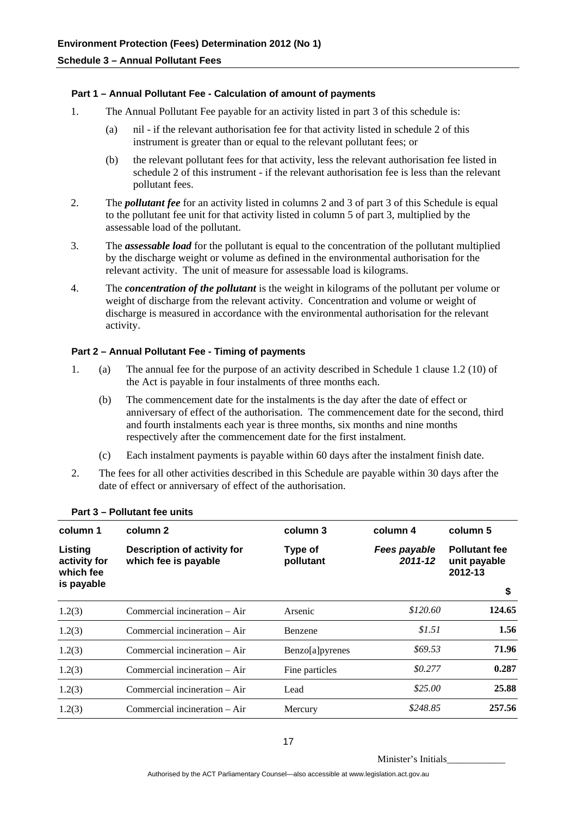**Schedule 3 – Annual Pollutant Fees** 

#### **Part 1 – Annual Pollutant Fee - Calculation of amount of payments**

- 1. The Annual Pollutant Fee payable for an activity listed in part 3 of this schedule is:
	- (a) nil if the relevant authorisation fee for that activity listed in schedule 2 of this instrument is greater than or equal to the relevant pollutant fees; or
	- (b) the relevant pollutant fees for that activity, less the relevant authorisation fee listed in schedule 2 of this instrument - if the relevant authorisation fee is less than the relevant pollutant fees.
- 2. The *pollutant fee* for an activity listed in columns 2 and 3 of part 3 of this Schedule is equal to the pollutant fee unit for that activity listed in column 5 of part 3, multiplied by the assessable load of the pollutant.
- 3. The *assessable load* for the pollutant is equal to the concentration of the pollutant multiplied by the discharge weight or volume as defined in the environmental authorisation for the relevant activity. The unit of measure for assessable load is kilograms.
- 4. The *concentration of the pollutant* is the weight in kilograms of the pollutant per volume or weight of discharge from the relevant activity. Concentration and volume or weight of discharge is measured in accordance with the environmental authorisation for the relevant activity.

#### **Part 2 – Annual Pollutant Fee - Timing of payments**

- 1. (a) The annual fee for the purpose of an activity described in Schedule 1 clause 1.2 (10) of the Act is payable in four instalments of three months each.
	- (b) The commencement date for the instalments is the day after the date of effect or anniversary of effect of the authorisation. The commencement date for the second, third and fourth instalments each year is three months, six months and nine months respectively after the commencement date for the first instalment.
	- (c) Each instalment payments is payable within 60 days after the instalment finish date.
- 2. The fees for all other activities described in this Schedule are payable within 30 days after the date of effect or anniversary of effect of the authorisation.

| column 1                             | column 2                                            | column 3             | column 4                    | column 5                                        |
|--------------------------------------|-----------------------------------------------------|----------------------|-----------------------------|-------------------------------------------------|
| Listing<br>activity for<br>which fee | Description of activity for<br>which fee is payable | Type of<br>pollutant | Fees payable<br>$2011 - 12$ | <b>Pollutant fee</b><br>unit payable<br>2012-13 |
| is payable                           |                                                     |                      |                             | \$                                              |
| 1.2(3)                               | Commercial incineration - Air                       | Arsenic              | \$120.60                    | 124.65                                          |
| 1.2(3)                               | Commercial incineration $-$ Air                     | <b>Benzene</b>       | \$1.51                      | 1.56                                            |
| 1.2(3)                               | Commercial incineration – Air                       | Benzo[a]pyrenes      | \$69.53                     | 71.96                                           |
| 1.2(3)                               | Commercial incineration – Air                       | Fine particles       | \$0.277                     | 0.287                                           |
| 1.2(3)                               | Commercial incineration – Air                       | Lead                 | \$25.00                     | 25.88                                           |
| 1.2(3)                               | Commercial incineration – Air                       | Mercury              | \$248.85                    | 257.56                                          |

#### **Part 3 – Pollutant fee units**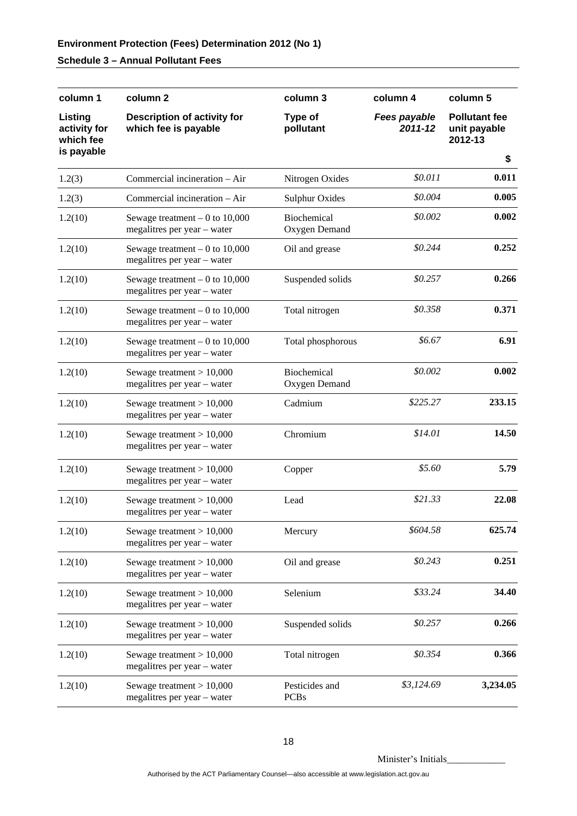#### **Schedule 3 – Annual Pollutant Fees**

| column 1                             | column 2                                                       | column 3                      | column 4                | column 5                                        |
|--------------------------------------|----------------------------------------------------------------|-------------------------------|-------------------------|-------------------------------------------------|
| Listing<br>activity for<br>which fee | Description of activity for<br>which fee is payable            | Type of<br>pollutant          | Fees payable<br>2011-12 | <b>Pollutant fee</b><br>unit payable<br>2012-13 |
| is payable                           |                                                                |                               |                         | \$                                              |
| 1.2(3)                               | Commercial incineration - Air                                  | Nitrogen Oxides               | \$0.011                 | 0.011                                           |
| 1.2(3)                               | Commercial incineration - Air                                  | <b>Sulphur Oxides</b>         | \$0.004                 | 0.005                                           |
| 1.2(10)                              | Sewage treatment $-0$ to 10,000<br>megalitres per year - water | Biochemical<br>Oxygen Demand  | \$0.002                 | 0.002                                           |
| 1.2(10)                              | Sewage treatment $-0$ to 10,000<br>megalitres per year - water | Oil and grease                | \$0.244                 | 0.252                                           |
| 1.2(10)                              | Sewage treatment $-0$ to 10,000<br>megalitres per year – water | Suspended solids              | \$0.257                 | 0.266                                           |
| 1.2(10)                              | Sewage treatment $-0$ to 10,000<br>megalitres per year - water | Total nitrogen                | \$0.358                 | 0.371                                           |
| 1.2(10)                              | Sewage treatment $-0$ to 10,000<br>megalitres per year - water | Total phosphorous             | \$6.67                  | 6.91                                            |
| 1.2(10)                              | Sewage treatment $> 10,000$<br>megalitres per year - water     | Biochemical<br>Oxygen Demand  | \$0.002                 | 0.002                                           |
| 1.2(10)                              | Sewage treatment $> 10,000$<br>megalitres per year – water     | Cadmium                       | \$225.27                | 233.15                                          |
| 1.2(10)                              | Sewage treatment $> 10,000$<br>megalitres per year - water     | Chromium                      | \$14.01                 | 14.50                                           |
| 1.2(10)                              | Sewage treatment $> 10,000$<br>megalitres per year – water     | Copper                        | \$5.60                  | 5.79                                            |
| 1.2(10)                              | Sewage treatment $> 10,000$<br>megalitres per year – water     | Lead                          | \$21.33                 | 22.08                                           |
| 1.2(10)                              | Sewage treatment $> 10,000$<br>megalitres per year – water     | Mercury                       | \$604.58                | 625.74                                          |
| 1.2(10)                              | Sewage treatment $> 10,000$<br>megalitres per year – water     | Oil and grease                | \$0.243                 | 0.251                                           |
| 1.2(10)                              | Sewage treatment $> 10,000$<br>megalitres per year - water     | Selenium                      | \$33.24                 | 34.40                                           |
| 1.2(10)                              | Sewage treatment $> 10,000$<br>megalitres per year – water     | Suspended solids              | \$0.257                 | 0.266                                           |
| 1.2(10)                              | Sewage treatment $> 10,000$<br>megalitres per year – water     | Total nitrogen                | \$0.354                 | 0.366                                           |
| 1.2(10)                              | Sewage treatment $> 10,000$<br>megalitres per year - water     | Pesticides and<br><b>PCBs</b> | \$3,124.69              | 3,234.05                                        |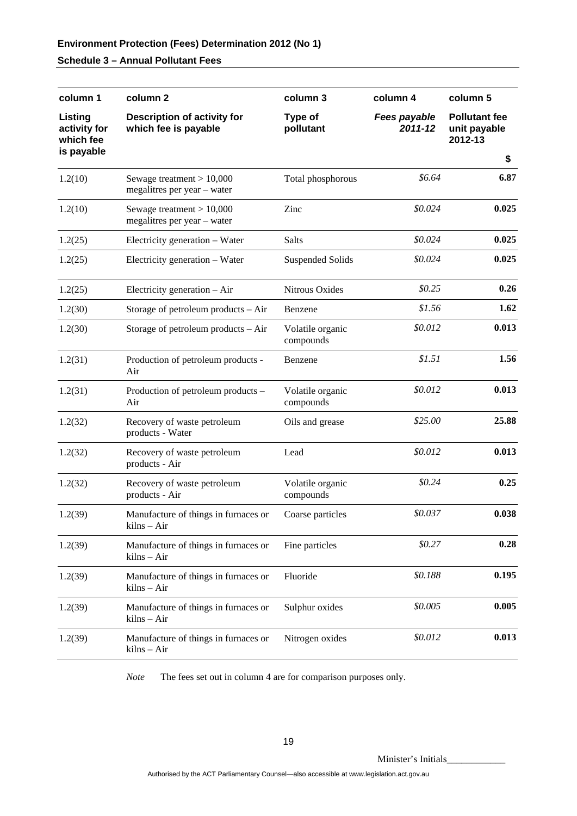#### **Schedule 3 – Annual Pollutant Fees**

| column 1                             | column <sub>2</sub>                                        | column 3                      | column 4                | column 5                                        |
|--------------------------------------|------------------------------------------------------------|-------------------------------|-------------------------|-------------------------------------------------|
| Listing<br>activity for<br>which fee | Description of activity for<br>which fee is payable        | Type of<br>pollutant          | Fees payable<br>2011-12 | <b>Pollutant fee</b><br>unit payable<br>2012-13 |
| is payable                           |                                                            |                               |                         | \$                                              |
| 1.2(10)                              | Sewage treatment $> 10,000$<br>megalitres per year – water | Total phosphorous             | \$6.64                  | 6.87                                            |
| 1.2(10)                              | Sewage treatment $> 10,000$<br>megalitres per year - water | Zinc                          | \$0.024                 | 0.025                                           |
| 1.2(25)                              | Electricity generation - Water                             | Salts                         | \$0.024                 | 0.025                                           |
| 1.2(25)                              | Electricity generation – Water                             | <b>Suspended Solids</b>       | \$0.024                 | 0.025                                           |
| 1.2(25)                              | Electricity generation - Air                               | Nitrous Oxides                | \$0.25                  | 0.26                                            |
| 1.2(30)                              | Storage of petroleum products $-$ Air                      | Benzene                       | \$1.56                  | 1.62                                            |
| 1.2(30)                              | Storage of petroleum products - Air                        | Volatile organic<br>compounds | \$0.012                 | 0.013                                           |
| 1.2(31)                              | Production of petroleum products -<br>Air                  | Benzene                       | \$1.51                  | 1.56                                            |
| 1.2(31)                              | Production of petroleum products -<br>Air                  | Volatile organic<br>compounds | \$0.012                 | 0.013                                           |
| 1.2(32)                              | Recovery of waste petroleum<br>products - Water            | Oils and grease               | \$25.00                 | 25.88                                           |
| 1.2(32)                              | Recovery of waste petroleum<br>products - Air              | Lead                          | \$0.012                 | 0.013                                           |
| 1.2(32)                              | Recovery of waste petroleum<br>products - Air              | Volatile organic<br>compounds | \$0.24                  | 0.25                                            |
| 1.2(39)                              | Manufacture of things in furnaces or<br>kilns - Air        | Coarse particles              | \$0.037                 | 0.038                                           |
| 1.2(39)                              | Manufacture of things in furnaces or<br>kilns – Air        | Fine particles                | \$0.27                  | 0.28                                            |
| 1.2(39)                              | Manufacture of things in furnaces or<br>kilns – Air        | Fluoride                      | \$0.188                 | 0.195                                           |
| 1.2(39)                              | Manufacture of things in furnaces or<br>kilns - Air        | Sulphur oxides                | \$0.005                 | 0.005                                           |
| 1.2(39)                              | Manufacture of things in furnaces or<br>kilns - Air        | Nitrogen oxides               | \$0.012                 | 0.013                                           |

*Note* The fees set out in column 4 are for comparison purposes only.